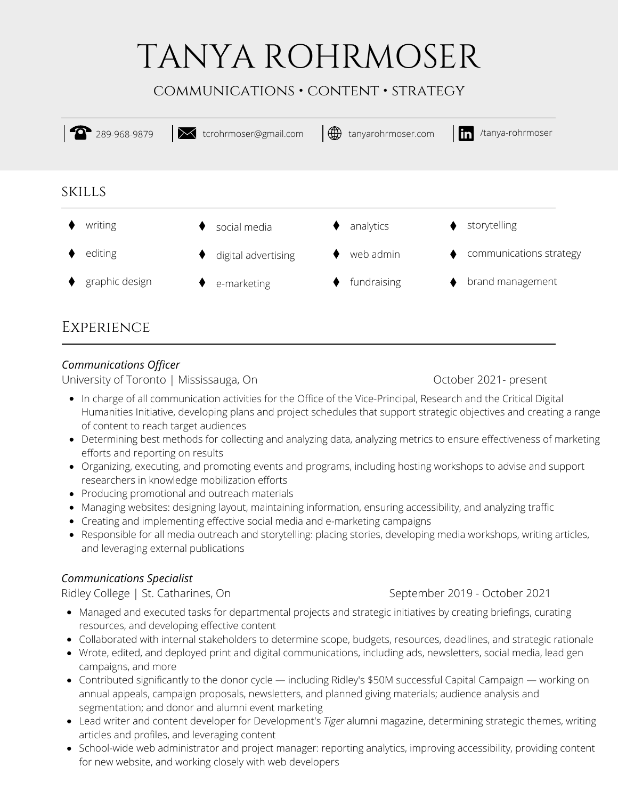# TANYA ROHRMOSER

# communications • content • strategy



# *Communications Officer*

University of Toronto | Mississauga, On Changes Controller 2021- present

- In charge of all communication activities for the Office of the Vice-Principal, Research and the Critical Digital Humanities Initiative, developing plans and project schedules that support strategic objectives and creating a range of content to reach target audiences
- Determining best methods for collecting and analyzing data, analyzing metrics to ensure effectiveness of marketing efforts and reporting on results
- Organizing, executing, and promoting events and programs, including hosting workshops to advise and support researchers in knowledge mobilization efforts
- Producing promotional and outreach materials
- Managing websites: designing layout, maintaining information, ensuring accessibility, and analyzing traffic
- Creating and implementing effective social media and e-marketing campaigns
- Responsible for all media outreach and storytelling: placing stories, developing media workshops, writing articles, and leveraging external publications

# *Communications Specialist*

Ridley College | St. Catharines, On September 2019 - October 2021

- Managed and executed tasks for departmental projects and strategic initiatives by creating briefings, curating resources, and developing effective content
- Collaborated with internal stakeholders to determine scope, budgets, resources, deadlines, and strategic rationale
- Wrote, edited, and deployed print and digital communications, including ads, newsletters, social media, lead gen campaigns, and more
- Contributed significantly to the donor cycle including Ridley's \$50M successful Capital Campaign working on annual appeals, campaign proposals, newsletters, and planned giving materials; audience analysis and segmentation; and donor and alumni event marketing
- Lead writer and content developer for Development's *Tiger* alumni magazine, determining strategic themes, writing articles and profiles, and leveraging content
- School-wide web administrator and project manager: reporting analytics, improving accessibility, providing content for new website, and working closely with web developers